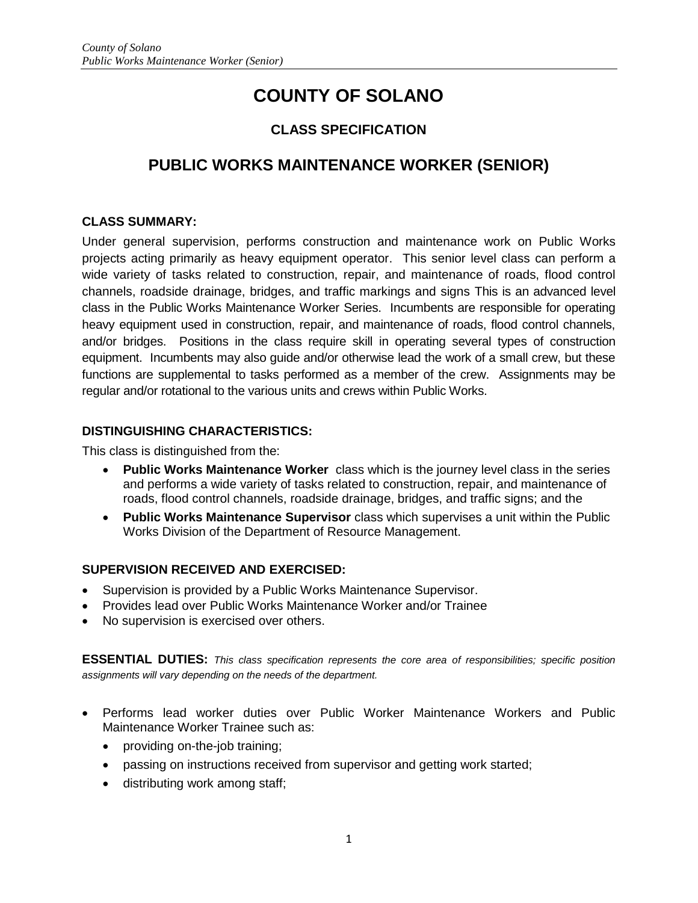# **COUNTY OF SOLANO**

### **CLASS SPECIFICATION**

## **PUBLIC WORKS MAINTENANCE WORKER (SENIOR)**

#### **CLASS SUMMARY:**

Under general supervision, performs construction and maintenance work on Public Works projects acting primarily as heavy equipment operator. This senior level class can perform a wide variety of tasks related to construction, repair, and maintenance of roads, flood control channels, roadside drainage, bridges, and traffic markings and signs This is an advanced level class in the Public Works Maintenance Worker Series. Incumbents are responsible for operating heavy equipment used in construction, repair, and maintenance of roads, flood control channels, and/or bridges. Positions in the class require skill in operating several types of construction equipment. Incumbents may also guide and/or otherwise lead the work of a small crew, but these functions are supplemental to tasks performed as a member of the crew. Assignments may be regular and/or rotational to the various units and crews within Public Works.

#### **DISTINGUISHING CHARACTERISTICS:**

This class is distinguished from the:

- **Public Works Maintenance Worker** class which is the journey level class in the series and performs a wide variety of tasks related to construction, repair, and maintenance of roads, flood control channels, roadside drainage, bridges, and traffic signs; and the
- **Public Works Maintenance Supervisor** class which supervises a unit within the Public Works Division of the Department of Resource Management.

#### **SUPERVISION RECEIVED AND EXERCISED:**

- Supervision is provided by a Public Works Maintenance Supervisor.
- Provides lead over Public Works Maintenance Worker and/or Trainee
- No supervision is exercised over others.

**ESSENTIAL DUTIES:** *This class specification represents the core area of responsibilities; specific position assignments will vary depending on the needs of the department.*

- Performs lead worker duties over Public Worker Maintenance Workers and Public Maintenance Worker Trainee such as:
	- providing on-the-job training;
	- passing on instructions received from supervisor and getting work started;
	- distributing work among staff;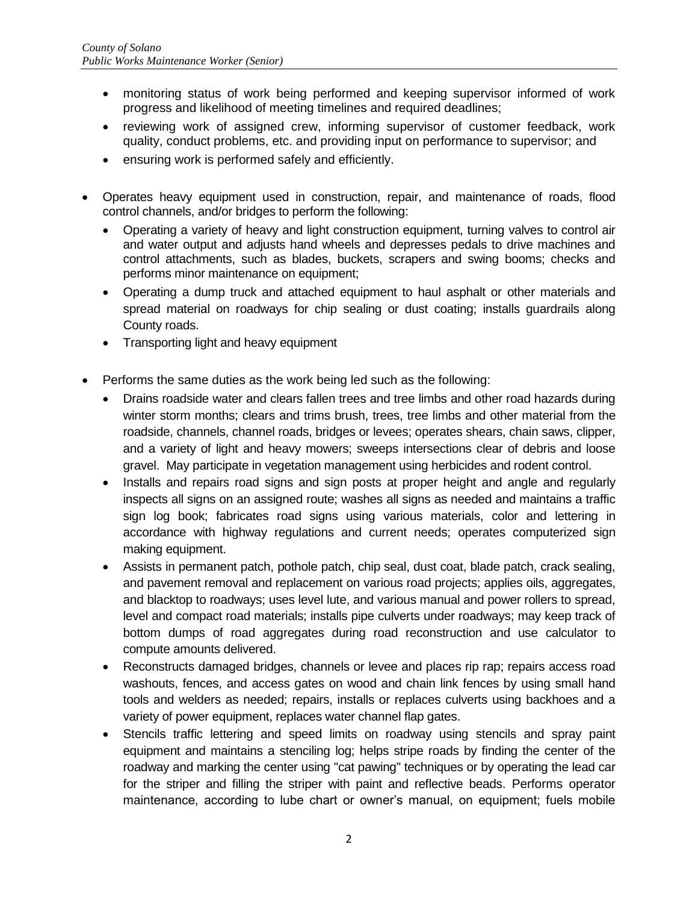- monitoring status of work being performed and keeping supervisor informed of work progress and likelihood of meeting timelines and required deadlines;
- reviewing work of assigned crew, informing supervisor of customer feedback, work quality, conduct problems, etc. and providing input on performance to supervisor; and
- ensuring work is performed safely and efficiently.
- Operates heavy equipment used in construction, repair, and maintenance of roads, flood control channels, and/or bridges to perform the following:
	- Operating a variety of heavy and light construction equipment, turning valves to control air and water output and adjusts hand wheels and depresses pedals to drive machines and control attachments, such as blades, buckets, scrapers and swing booms; checks and performs minor maintenance on equipment;
	- Operating a dump truck and attached equipment to haul asphalt or other materials and spread material on roadways for chip sealing or dust coating; installs guardrails along County roads.
	- Transporting light and heavy equipment
- Performs the same duties as the work being led such as the following:
	- Drains roadside water and clears fallen trees and tree limbs and other road hazards during winter storm months; clears and trims brush, trees, tree limbs and other material from the roadside, channels, channel roads, bridges or levees; operates shears, chain saws, clipper, and a variety of light and heavy mowers; sweeps intersections clear of debris and loose gravel. May participate in vegetation management using herbicides and rodent control.
	- Installs and repairs road signs and sign posts at proper height and angle and regularly inspects all signs on an assigned route; washes all signs as needed and maintains a traffic sign log book; fabricates road signs using various materials, color and lettering in accordance with highway regulations and current needs; operates computerized sign making equipment.
	- Assists in permanent patch, pothole patch, chip seal, dust coat, blade patch, crack sealing, and pavement removal and replacement on various road projects; applies oils, aggregates, and blacktop to roadways; uses level lute, and various manual and power rollers to spread, level and compact road materials; installs pipe culverts under roadways; may keep track of bottom dumps of road aggregates during road reconstruction and use calculator to compute amounts delivered.
	- Reconstructs damaged bridges, channels or levee and places rip rap; repairs access road washouts, fences, and access gates on wood and chain link fences by using small hand tools and welders as needed; repairs, installs or replaces culverts using backhoes and a variety of power equipment, replaces water channel flap gates.
	- Stencils traffic lettering and speed limits on roadway using stencils and spray paint equipment and maintains a stenciling log; helps stripe roads by finding the center of the roadway and marking the center using "cat pawing" techniques or by operating the lead car for the striper and filling the striper with paint and reflective beads. Performs operator maintenance, according to lube chart or owner's manual, on equipment; fuels mobile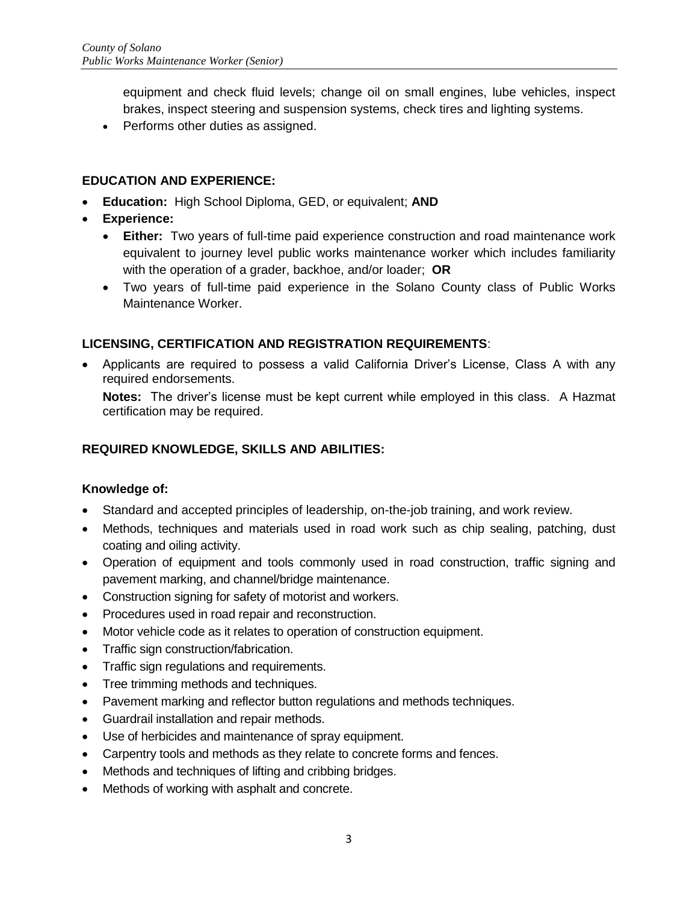equipment and check fluid levels; change oil on small engines, lube vehicles, inspect brakes, inspect steering and suspension systems, check tires and lighting systems.

• Performs other duties as assigned.

#### **EDUCATION AND EXPERIENCE:**

- **Education:** High School Diploma, GED, or equivalent; **AND**
- **Experience:** 
	- **Either:** Two years of full-time paid experience construction and road maintenance work equivalent to journey level public works maintenance worker which includes familiarity with the operation of a grader, backhoe, and/or loader; **OR**
	- Two years of full-time paid experience in the Solano County class of Public Works Maintenance Worker.

#### **LICENSING, CERTIFICATION AND REGISTRATION REQUIREMENTS**:

 Applicants are required to possess a valid California Driver's License, Class A with any required endorsements.

**Notes:** The driver's license must be kept current while employed in this class. A Hazmat certification may be required.

#### **REQUIRED KNOWLEDGE, SKILLS AND ABILITIES:**

#### **Knowledge of:**

- Standard and accepted principles of leadership, on-the-job training, and work review.
- Methods, techniques and materials used in road work such as chip sealing, patching, dust coating and oiling activity.
- Operation of equipment and tools commonly used in road construction, traffic signing and pavement marking, and channel/bridge maintenance.
- Construction signing for safety of motorist and workers.
- Procedures used in road repair and reconstruction.
- Motor vehicle code as it relates to operation of construction equipment.
- Traffic sign construction/fabrication.
- Traffic sign regulations and requirements.
- Tree trimming methods and techniques.
- Pavement marking and reflector button regulations and methods techniques.
- Guardrail installation and repair methods.
- Use of herbicides and maintenance of spray equipment.
- Carpentry tools and methods as they relate to concrete forms and fences.
- Methods and techniques of lifting and cribbing bridges.
- Methods of working with asphalt and concrete.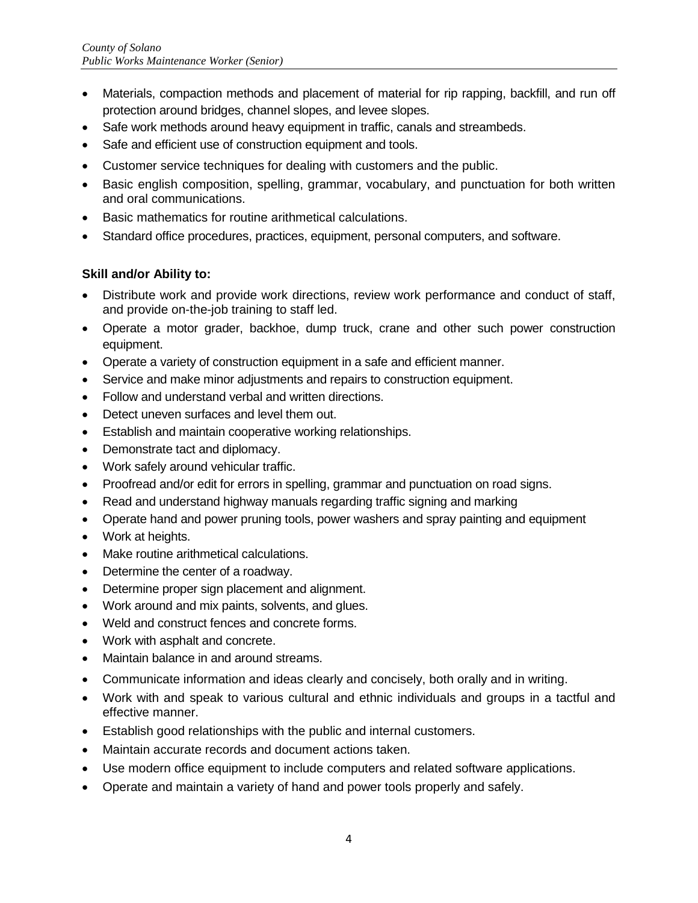- Materials, compaction methods and placement of material for rip rapping, backfill, and run off protection around bridges, channel slopes, and levee slopes.
- Safe work methods around heavy equipment in traffic, canals and streambeds.
- Safe and efficient use of construction equipment and tools.
- Customer service techniques for dealing with customers and the public.
- Basic english composition, spelling, grammar, vocabulary, and punctuation for both written and oral communications.
- Basic mathematics for routine arithmetical calculations.
- Standard office procedures, practices, equipment, personal computers, and software.

#### **Skill and/or Ability to:**

- Distribute work and provide work directions, review work performance and conduct of staff, and provide on-the-job training to staff led.
- Operate a motor grader, backhoe, dump truck, crane and other such power construction equipment.
- Operate a variety of construction equipment in a safe and efficient manner.
- Service and make minor adjustments and repairs to construction equipment.
- Follow and understand verbal and written directions.
- Detect uneven surfaces and level them out.
- Establish and maintain cooperative working relationships.
- Demonstrate tact and diplomacy.
- Work safely around vehicular traffic.
- Proofread and/or edit for errors in spelling, grammar and punctuation on road signs.
- Read and understand highway manuals regarding traffic signing and marking
- Operate hand and power pruning tools, power washers and spray painting and equipment
- Work at heights.
- Make routine arithmetical calculations.
- Determine the center of a roadway.
- Determine proper sign placement and alignment.
- Work around and mix paints, solvents, and glues.
- Weld and construct fences and concrete forms.
- Work with asphalt and concrete.
- Maintain balance in and around streams.
- Communicate information and ideas clearly and concisely, both orally and in writing.
- Work with and speak to various cultural and ethnic individuals and groups in a tactful and effective manner.
- Establish good relationships with the public and internal customers.
- Maintain accurate records and document actions taken.
- Use modern office equipment to include computers and related software applications.
- Operate and maintain a variety of hand and power tools properly and safely.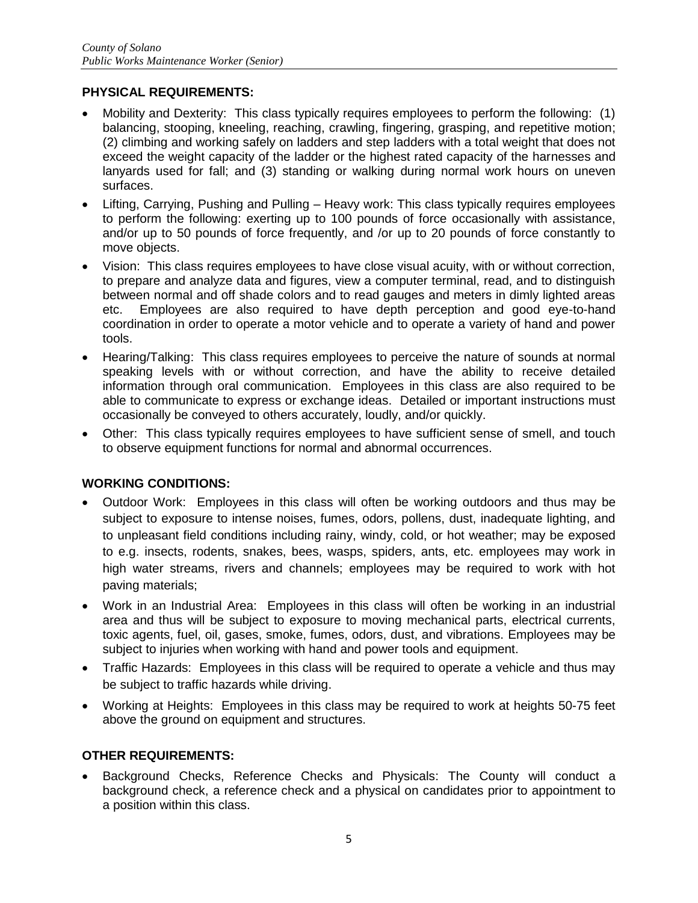#### **PHYSICAL REQUIREMENTS:**

- Mobility and Dexterity: This class typically requires employees to perform the following: (1) balancing, stooping, kneeling, reaching, crawling, fingering, grasping, and repetitive motion; (2) climbing and working safely on ladders and step ladders with a total weight that does not exceed the weight capacity of the ladder or the highest rated capacity of the harnesses and lanyards used for fall; and (3) standing or walking during normal work hours on uneven surfaces.
- Lifting, Carrying, Pushing and Pulling Heavy work: This class typically requires employees to perform the following: exerting up to 100 pounds of force occasionally with assistance, and/or up to 50 pounds of force frequently, and /or up to 20 pounds of force constantly to move objects.
- Vision: This class requires employees to have close visual acuity, with or without correction, to prepare and analyze data and figures, view a computer terminal, read, and to distinguish between normal and off shade colors and to read gauges and meters in dimly lighted areas etc. Employees are also required to have depth perception and good eye-to-hand coordination in order to operate a motor vehicle and to operate a variety of hand and power tools.
- Hearing/Talking: This class requires employees to perceive the nature of sounds at normal speaking levels with or without correction, and have the ability to receive detailed information through oral communication. Employees in this class are also required to be able to communicate to express or exchange ideas. Detailed or important instructions must occasionally be conveyed to others accurately, loudly, and/or quickly.
- Other: This class typically requires employees to have sufficient sense of smell, and touch to observe equipment functions for normal and abnormal occurrences.

#### **WORKING CONDITIONS:**

- Outdoor Work: Employees in this class will often be working outdoors and thus may be subject to exposure to intense noises, fumes, odors, pollens, dust, inadequate lighting, and to unpleasant field conditions including rainy, windy, cold, or hot weather; may be exposed to e.g. insects, rodents, snakes, bees, wasps, spiders, ants, etc. employees may work in high water streams, rivers and channels; employees may be required to work with hot paving materials;
- Work in an Industrial Area: Employees in this class will often be working in an industrial area and thus will be subject to exposure to moving mechanical parts, electrical currents, toxic agents, fuel, oil, gases, smoke, fumes, odors, dust, and vibrations. Employees may be subject to injuries when working with hand and power tools and equipment.
- Traffic Hazards: Employees in this class will be required to operate a vehicle and thus may be subject to traffic hazards while driving.
- Working at Heights: Employees in this class may be required to work at heights 50-75 feet above the ground on equipment and structures.

#### **OTHER REQUIREMENTS:**

 Background Checks, Reference Checks and Physicals: The County will conduct a background check, a reference check and a physical on candidates prior to appointment to a position within this class.